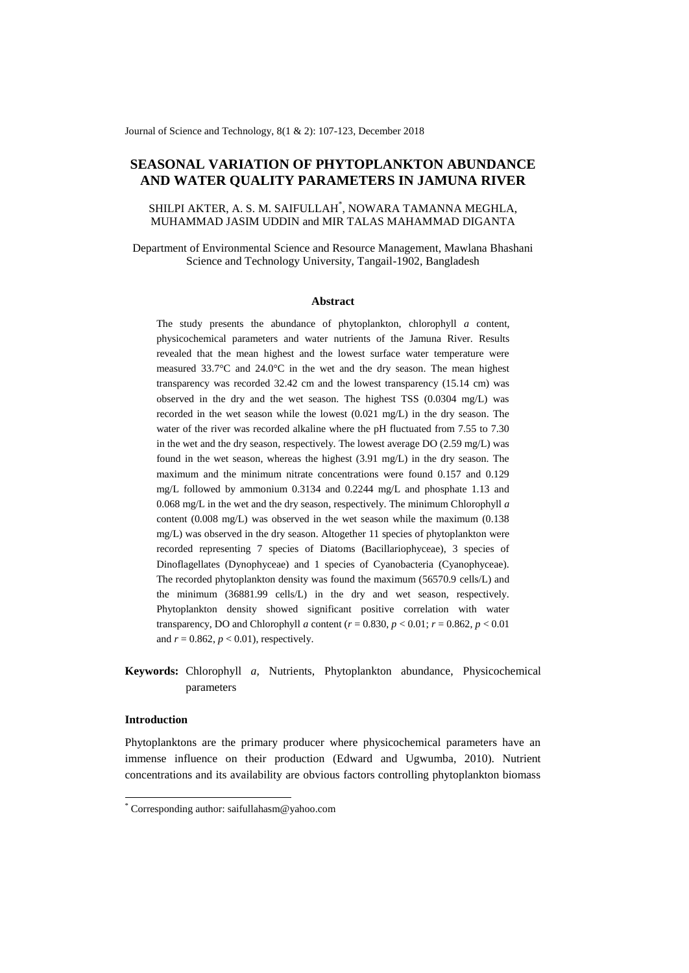Journal of Science and Technology, 8(1 & 2): 107-123, December 2018

# **SEASONAL VARIATION OF PHYTOPLANKTON ABUNDANCE AND WATER QUALITY PARAMETERS IN JAMUNA RIVER**

## SHILPI AKTER, A. S. M. SAIFULLAH\* , NOWARA TAMANNA MEGHLA, MUHAMMAD JASIM UDDIN and MIR TALAS MAHAMMAD DIGANTA

Department of Environmental Science and Resource Management, Mawlana Bhashani Science and Technology University, Tangail-1902, Bangladesh

#### **Abstract**

The study presents the abundance of phytoplankton, chlorophyll *a* content*,*  physicochemical parameters and water nutrients of the Jamuna River. Results revealed that the mean highest and the lowest surface water temperature were measured 33.7°C and 24.0°C in the wet and the dry season. The mean highest transparency was recorded 32.42 cm and the lowest transparency (15.14 cm) was observed in the dry and the wet season. The highest TSS (0.0304 mg/L) was recorded in the wet season while the lowest (0.021 mg/L) in the dry season. The water of the river was recorded alkaline where the pH fluctuated from 7.55 to 7.30 in the wet and the dry season, respectively. The lowest average DO (2.59 mg/L) was found in the wet season, whereas the highest (3.91 mg/L) in the dry season. The maximum and the minimum nitrate concentrations were found 0.157 and 0.129 mg/L followed by ammonium 0.3134 and 0.2244 mg/L and phosphate 1.13 and 0.068 mg/L in the wet and the dry season, respectively. The minimum Chlorophyll *a* content (0.008 mg/L) was observed in the wet season while the maximum (0.138 mg/L) was observed in the dry season. Altogether 11 species of phytoplankton were recorded representing 7 species of Diatoms (Bacillariophyceae), 3 species of Dinoflagellates (Dynophyceae) and 1 species of Cyanobacteria (Cyanophyceae). The recorded phytoplankton density was found the maximum (56570.9 cells/L) and the minimum (36881.99 cells/L) in the dry and wet season, respectively. Phytoplankton density showed significant positive correlation with water transparency, DO and Chlorophyll *a* content (*r* = 0.830, *p* < 0.01; *r* = 0.862, *p* < 0.01 and  $r = 0.862$ ,  $p < 0.01$ ), respectively.

**Keywords:** Chlorophyll *a,* Nutrients, Phytoplankton abundance, Physicochemical parameters

## **Introduction**

-

Phytoplanktons are the primary producer where physicochemical parameters have an immense influence on their production (Edward and Ugwumba, 2010). Nutrient concentrations and its availability are obvious factors controlling phytoplankton biomass

<sup>\*</sup> Corresponding author: saifullahasm@yahoo.com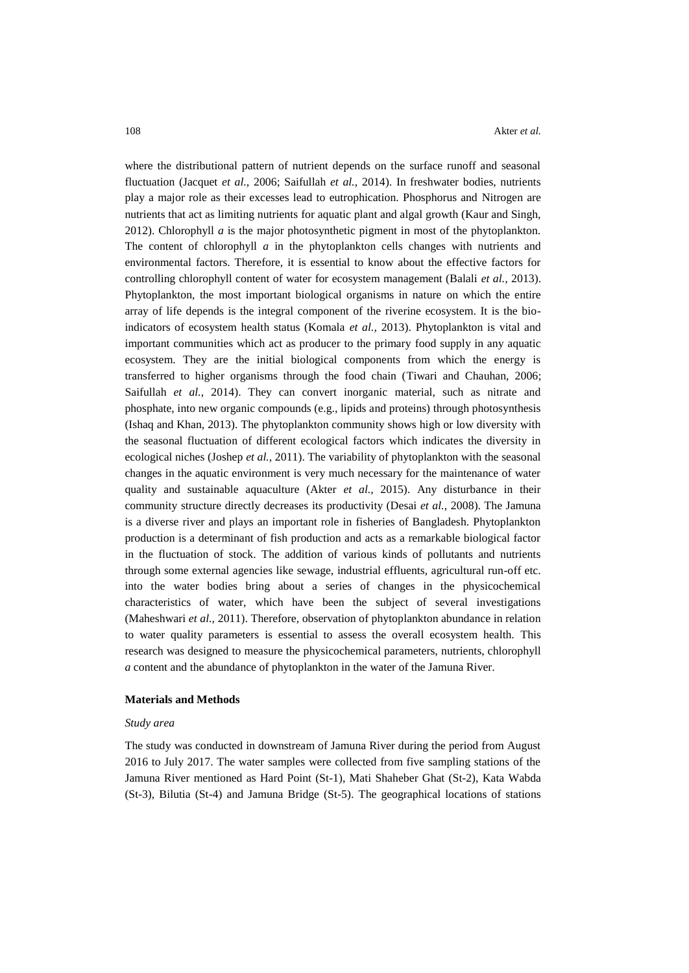where the distributional pattern of nutrient depends on the surface runoff and seasonal fluctuation (Jacquet *et al.,* 2006; [Saifullah](http://www.sciencedirect.com/science/article/pii/S1687428515000825#b0220) *et al.,* 2014). In freshwater bodies, nutrients play a major role as their excesses lead to eutrophication. Phosphorus and Nitrogen are nutrients that act as limiting nutrients for aquatic plant and algal growth (Kaur and Singh, 2012). Chlorophyll *a* is the major photosynthetic pigment in most of the phytoplankton. The content of chlorophyll *a* in the phytoplankton cells changes with nutrients and environmental factors. Therefore, it is essential to know about the effective factors for controlling chlorophyll content of water for ecosystem management (Balali *et al.,* 2013). Phytoplankton, the most important biological organisms in nature on which the entire array of life depends is the integral component of the riverine ecosystem. It is the bioindicators of ecosystem health status (Komala *et al.,* 2013). Phytoplankton is vital and important communities which act as producer to the primary food supply in any aquatic ecosystem. They are the initial biological components from which the energy is transferred to higher organisms through the food chain (Tiwari and [Chauhan,](http://www.sciencedirect.com/science/article/pii/S1687428515000825#b0285) 2006; [Saifullah](http://www.sciencedirect.com/science/article/pii/S1687428515000825#b0220) *et al.*, 2014). They can convert inorganic material, such as nitrate and phosphate, into new organic compounds (e.g., lipids and proteins) through photosynthesis (Ishaq and Khan, 2013). The phytoplankton community shows high or low diversity with the seasonal fluctuation of different ecological factors which indicates the diversity in ecological niches (Joshep *et al.,* 2011). The variability of phytoplankton with the seasonal changes in the aquatic environment is very much necessary for the maintenance of water quality and sustainable aquaculture (Akter *et al.,* 2015). Any disturbance in their community structure directly decreases its productivity (Desai *et al.,* 2008). The Jamuna is a diverse river and plays an important role in fisheries of Bangladesh. Phytoplankton production is a determinant of fish production and acts as a remarkable biological factor in the fluctuation of stock. The addition of various kinds of pollutants and nutrients through some external agencies like sewage, industrial effluents, agricultural run-off etc. into the water bodies bring about a series of changes in the physicochemical characteristics of water, which have been the subject of several investigations (Maheshwari *et al.,* 2011). Therefore, observation of phytoplankton abundance in relation to water quality parameters is essential to assess the overall ecosystem health. This research was designed to measure the physicochemical parameters, nutrients, chlorophyll *a* content and the abundance of phytoplankton in the water of the Jamuna River.

#### **Materials and Methods**

#### *Study area*

The study was conducted in downstream of Jamuna River during the period from August 2016 to July 2017. The water samples were collected from five sampling stations of the Jamuna River mentioned as Hard Point (St-1), Mati Shaheber Ghat (St-2), Kata Wabda (St-3), Bilutia (St-4) and Jamuna Bridge (St-5). The geographical locations of stations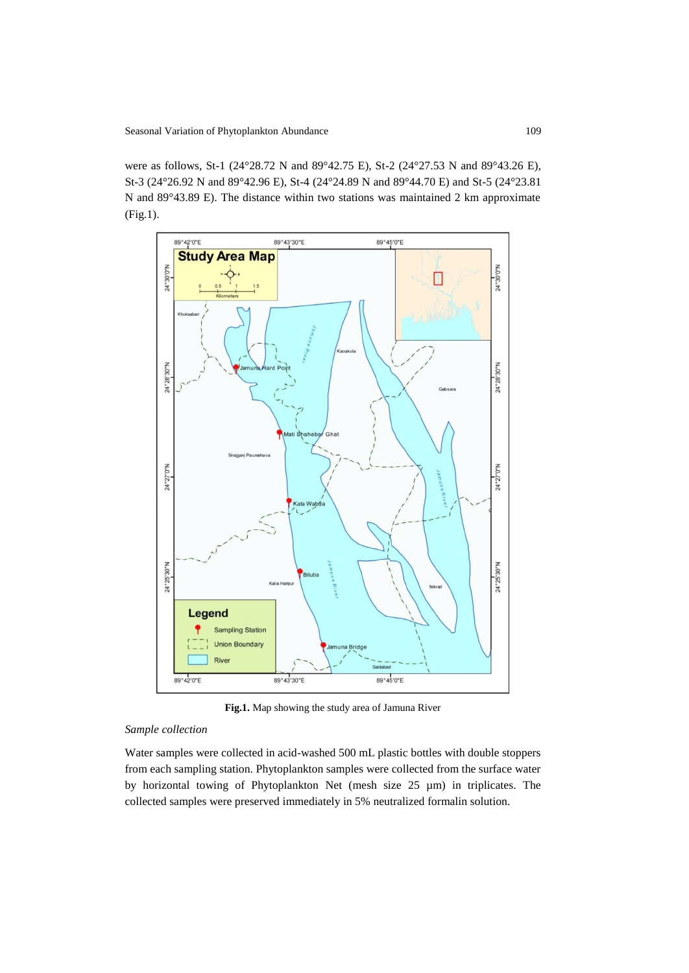were as follows, St-1 (24°28.72 N and 89°42.75 E), St-2 (24°27.53 N and 89°43.26 E), St-3 (24°26.92 N and 89°42.96 E), St-4 (24°24.89 N and 89°44.70 E) and St-5 (24°23.81 N and 89°43.89 E). The distance within two stations was maintained 2 km approximate (Fig.1).



**Fig.1.** Map showing the study area of Jamuna River

## *Sample collection*

Water samples were collected in acid-washed 500 mL plastic bottles with double stoppers from each sampling station. Phytoplankton samples were collected from the surface water by horizontal towing of Phytoplankton Net (mesh size 25 µm) in triplicates. The collected samples were preserved immediately in 5% neutralized formalin solution.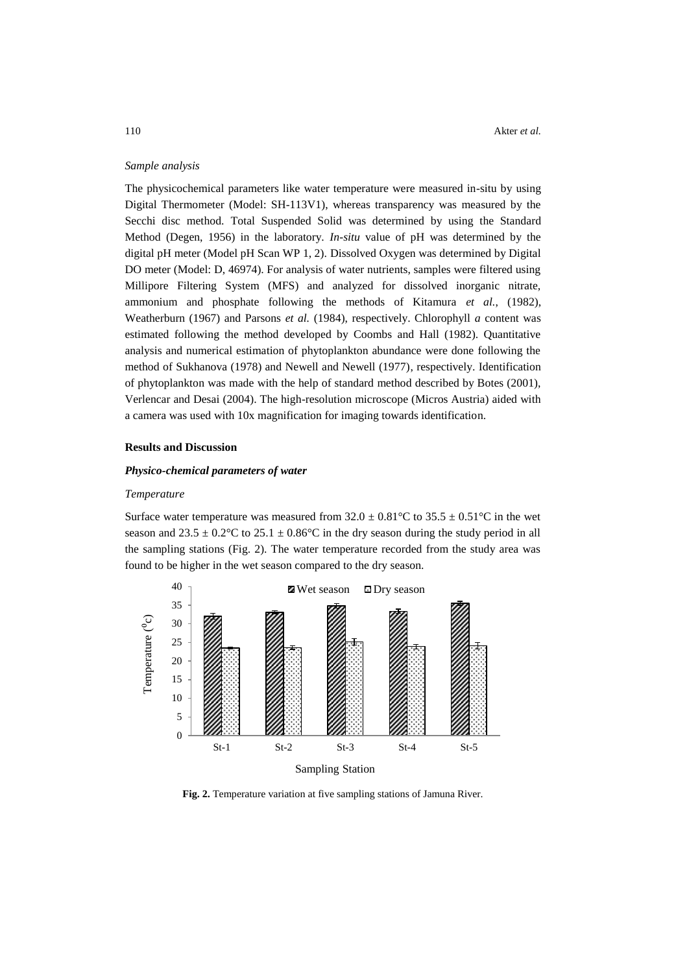### *Sample analysis*

The physicochemical parameters like water temperature were measured in-situ by using Digital Thermometer (Model: SH-113V1), whereas transparency was measured by the Secchi disc method. Total Suspended Solid was determined by using the Standard Method (Degen, 1956) in the laboratory. *In-situ* value of pH was determined by the digital pH meter (Model pH Scan WP 1, 2). Dissolved Oxygen was determined by Digital DO meter (Model: D, 46974). For analysis of water nutrients, samples were filtered using Millipore Filtering System (MFS) and analyzed for dissolved inorganic nitrate, ammonium and phosphate following the methods of Kitamura *et al.*, (1982), Weatherburn (1967) and Parsons *et al.* (1984), respectively. Chlorophyll *a* content was estimated following the method developed by Coombs and Hall (1982). Quantitative analysis and numerical estimation of phytoplankton abundance were done following the method of Sukhanova (1978) and Newell and Newell (1977), respectively. Identification of phytoplankton was made with the help of standard method described by Botes (2001), Verlencar and Desai (2004). The high-resolution microscope (Micros Austria) aided with a camera was used with 10x magnification for imaging towards identification.

## **Results and Discussion**

## *Physico-chemical parameters of water*

#### *Temperature*

Surface water temperature was measured from  $32.0 \pm 0.81^{\circ}\text{C}$  to  $35.5 \pm 0.51^{\circ}\text{C}$  in the wet season and  $23.5 \pm 0.2^{\circ}\text{C}$  to  $25.1 \pm 0.86^{\circ}\text{C}$  in the dry season during the study period in all the sampling stations (Fig. 2). The water temperature recorded from the study area was found to be higher in the wet season compared to the dry season.



**Fig. 2.** Temperature variation at five sampling stations of Jamuna River.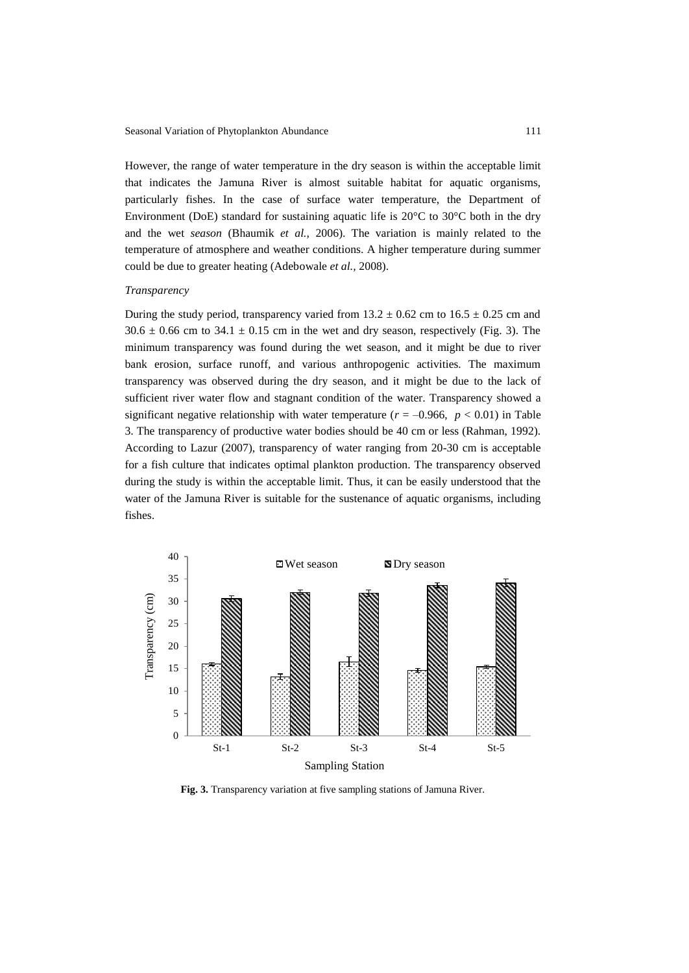However, the range of water temperature in the dry season is within the acceptable limit that indicates the Jamuna River is almost suitable habitat for aquatic organisms, particularly fishes. In the case of surface water temperature, the Department of Environment (DoE) standard for sustaining aquatic life is  $20^{\circ}$ C to  $30^{\circ}$ C both in the dry and the wet *season* (Bhaumik *et al.,* 2006). The variation is mainly related to the temperature of atmosphere and weather conditions. A higher temperature during summer could be due to greater heating (Adebowale *et al.,* 2008).

### *Transparency*

During the study period, transparency varied from  $13.2 \pm 0.62$  cm to  $16.5 \pm 0.25$  cm and  $30.6 \pm 0.66$  cm to  $34.1 \pm 0.15$  cm in the wet and dry season, respectively (Fig. 3). The minimum transparency was found during the wet season, and it might be due to river bank erosion, surface runoff, and various anthropogenic activities. The maximum transparency was observed during the dry season, and it might be due to the lack of sufficient river water flow and stagnant condition of the water. Transparency showed a significant negative relationship with water temperature ( $r = -0.966$ ,  $p < 0.01$ ) in Table 3. The transparency of productive water bodies should be 40 cm or less (Rahman, 1992). According to Lazur (2007), transparency of water ranging from 20-30 cm is acceptable for a fish culture that indicates optimal plankton production. The transparency observed during the study is within the acceptable limit. Thus, it can be easily understood that the water of the Jamuna River is suitable for the sustenance of aquatic organisms, including fishes.



**Fig. 3.** Transparency variation at five sampling stations of Jamuna River.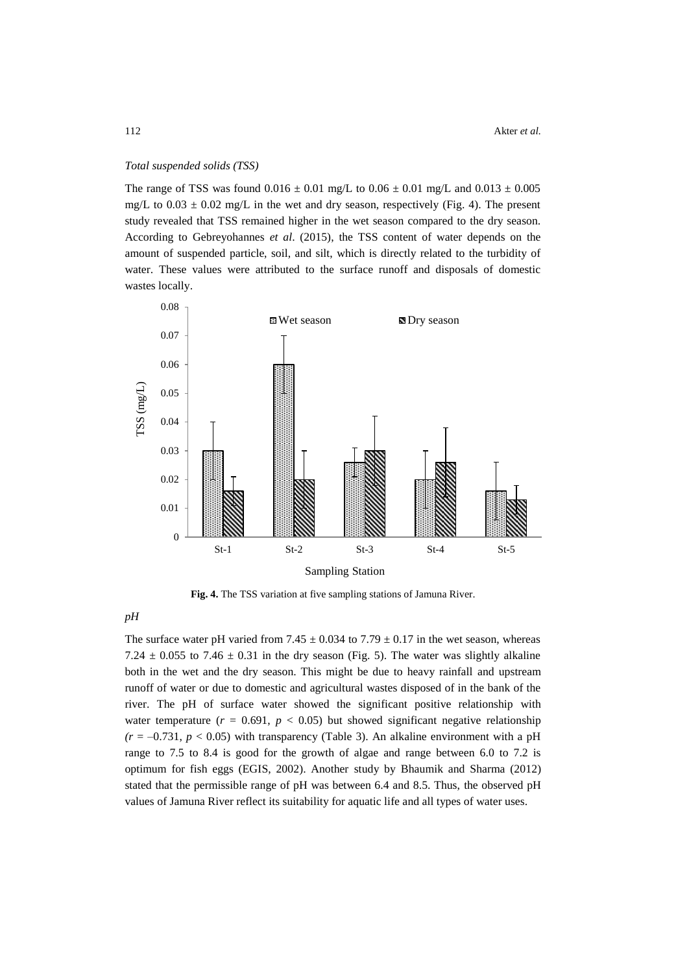### *Total suspended solids (TSS)*

The range of TSS was found  $0.016 \pm 0.01$  mg/L to  $0.06 \pm 0.01$  mg/L and  $0.013 \pm 0.005$ mg/L to  $0.03 \pm 0.02$  mg/L in the wet and dry season, respectively (Fig. 4). The present study revealed that TSS remained higher in the wet season compared to the dry season. According to Gebreyohannes *et al*. (2015), the TSS content of water depends on the amount of suspended particle, soil, and silt, which is directly related to the turbidity of water. These values were attributed to the surface runoff and disposals of domestic wastes locally.



**Fig. 4.** The TSS variation at five sampling stations of Jamuna River.

*pH* 

The surface water pH varied from 7.45  $\pm$  0.034 to 7.79  $\pm$  0.17 in the wet season, whereas 7.24  $\pm$  0.055 to 7.46  $\pm$  0.31 in the dry season (Fig. 5). The water was slightly alkaline both in the wet and the dry season. This might be due to heavy rainfall and upstream runoff of water or due to domestic and agricultural wastes disposed of in the bank of the river. The pH of surface water showed the significant positive relationship with water temperature  $(r = 0.691, p < 0.05)$  but showed significant negative relationship  $(r = -0.731, p < 0.05)$  with transparency (Table 3). An alkaline environment with a pH range to 7.5 to 8.4 is good for the growth of algae and range between 6.0 to 7.2 is optimum for fish eggs (EGIS, 2002). Another study by Bhaumik and Sharma (2012) stated that the permissible range of pH was between 6.4 and 8.5. Thus, the observed pH values of Jamuna River reflect its suitability for aquatic life and all types of water uses.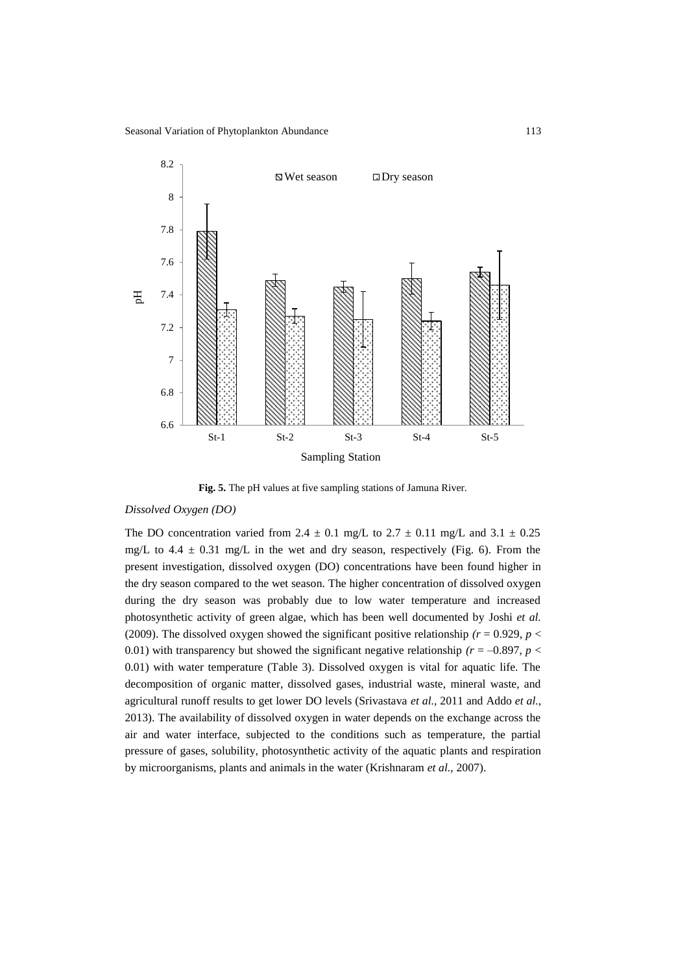

**Fig. 5.** The pH values at five sampling stations of Jamuna River.

## *Dissolved Oxygen (DO)*

The DO concentration varied from  $2.4 \pm 0.1$  mg/L to  $2.7 \pm 0.11$  mg/L and  $3.1 \pm 0.25$ mg/L to  $4.4 \pm 0.31$  mg/L in the wet and dry season, respectively (Fig. 6). From the present investigation, dissolved oxygen (DO) concentrations have been found higher in the dry season compared to the wet season. The higher concentration of dissolved oxygen during the dry season was probably due to low water temperature and increased photosynthetic activity of green algae, which has been well documented by Joshi *et al.*  (2009). The dissolved oxygen showed the significant positive relationship  $(r = 0.929, p <$ 0.01) with transparency but showed the significant negative relationship  $(r = -0.897, p <$ 0.01) with water temperature (Table 3). Dissolved oxygen is vital for aquatic life. The decomposition of organic matter, dissolved gases, industrial waste, mineral waste, and agricultural runoff results to get lower DO levels (Srivastava *et al.,* 2011 and Addo *et al.,* 2013). The availability of dissolved oxygen in water depends on the exchange across the air and water interface, subjected to the conditions such as temperature, the partial pressure of gases, solubility, photosynthetic activity of the aquatic plants and respiration by microorganisms, plants and animals in the water (Krishnaram *et al.,* 2007).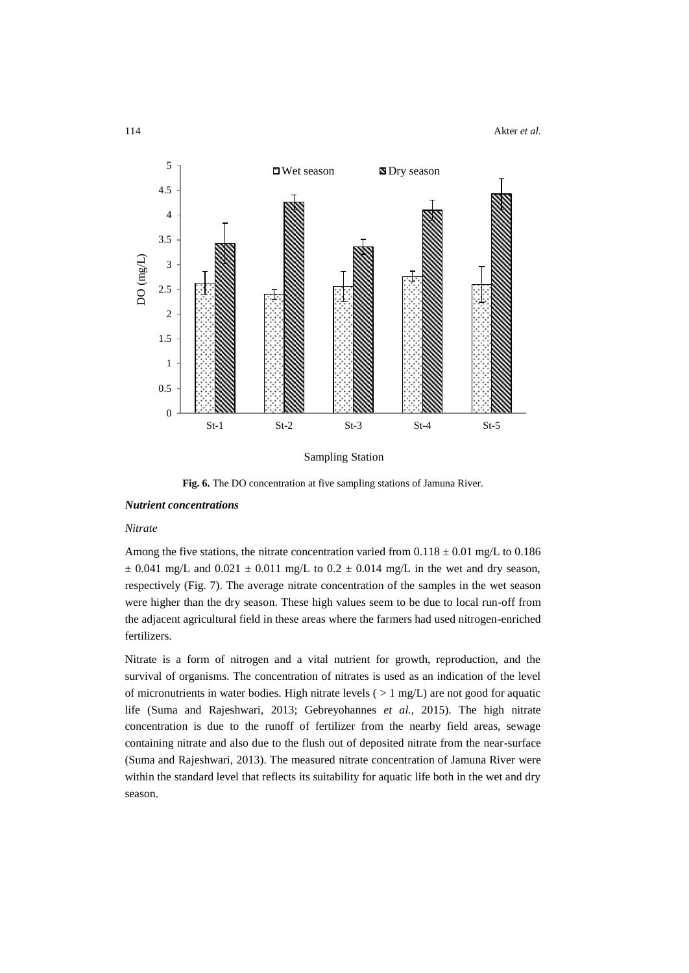114 Akter *et al.*



**Fig. 6.** The DO concentration at five sampling stations of Jamuna River.

### *Nutrient concentrations*

## *Nitrate*

Among the five stations, the nitrate concentration varied from  $0.118 \pm 0.01$  mg/L to  $0.186$  $\pm$  0.041 mg/L and 0.021  $\pm$  0.011 mg/L to 0.2  $\pm$  0.014 mg/L in the wet and dry season, respectively (Fig. 7). The average nitrate concentration of the samples in the wet season were higher than the dry season. These high values seem to be due to local run-off from the adjacent agricultural field in these areas where the farmers had used nitrogen-enriched fertilizers.

Nitrate is a form of nitrogen and a vital nutrient for growth, reproduction, and the survival of organisms. The concentration of nitrates is used as an indication of the level of micronutrients in water bodies. High nitrate levels ( $> 1$  mg/L) are not good for aquatic life (Suma and Rajeshwari, 2013; Gebreyohannes *et al.,* 2015). The high nitrate concentration is due to the runoff of fertilizer from the nearby field areas, sewage containing nitrate and also due to the flush out of deposited nitrate from the near-surface (Suma and Rajeshwari, 2013). The measured nitrate concentration of Jamuna River were within the standard level that reflects its suitability for aquatic life both in the wet and dry season.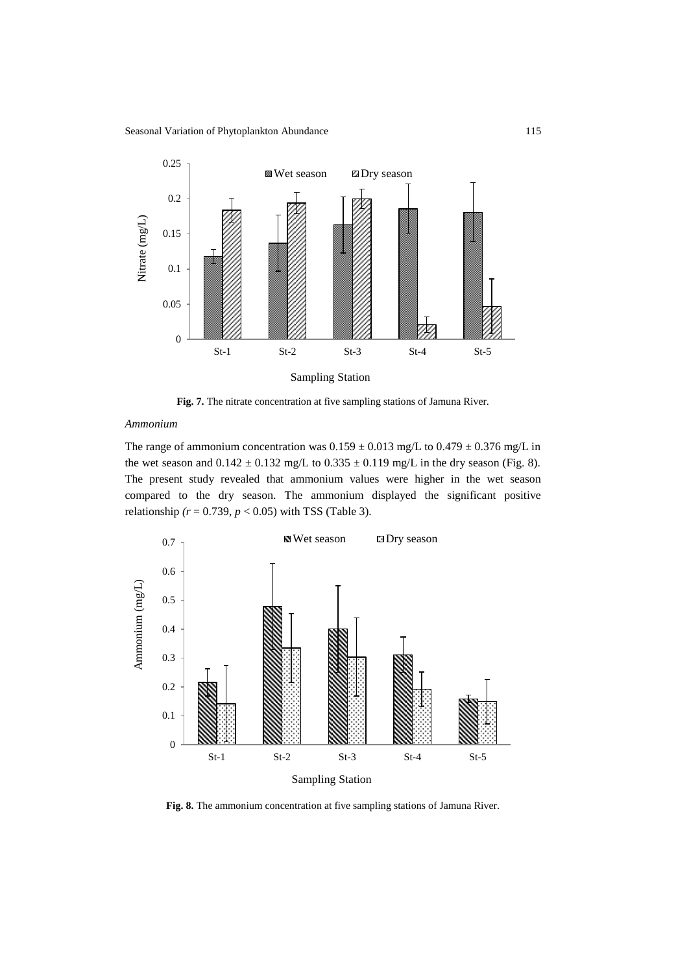

**Fig. 7.** The nitrate concentration at five sampling stations of Jamuna River.

## *Ammonium*

The range of ammonium concentration was  $0.159 \pm 0.013$  mg/L to  $0.479 \pm 0.376$  mg/L in the wet season and  $0.142 \pm 0.132$  mg/L to  $0.335 \pm 0.119$  mg/L in the dry season (Fig. 8). The present study revealed that ammonium values were higher in the wet season compared to the dry season. The ammonium displayed the significant positive relationship *(r* = 0.739, *p* < 0.05) with TSS (Table 3).



**Fig. 8.** The ammonium concentration at five sampling stations of Jamuna River.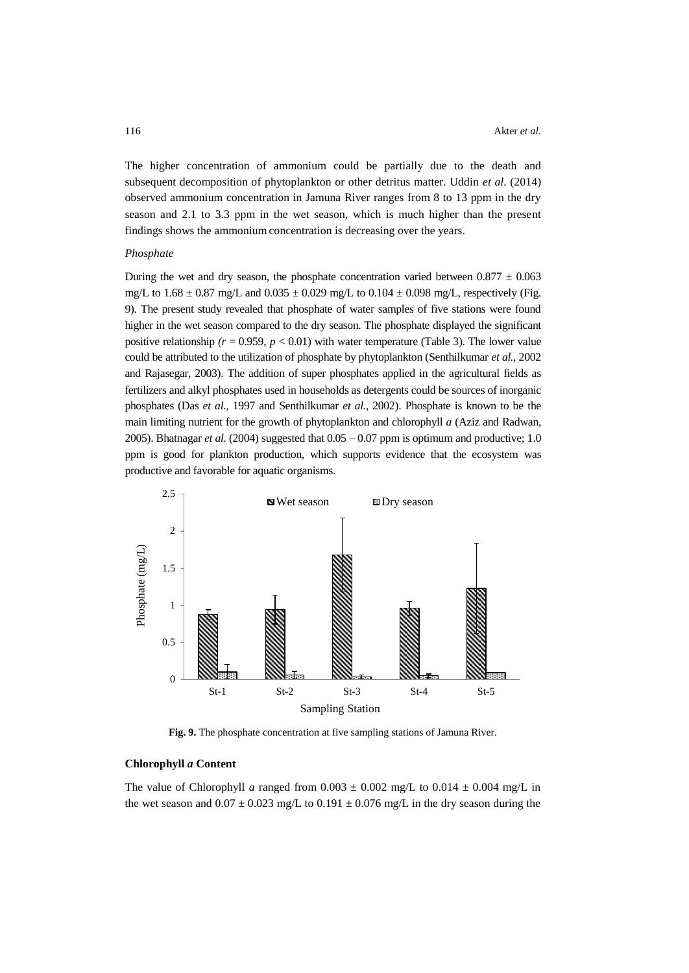The higher concentration of ammonium could be partially due to the death and subsequent decomposition of phytoplankton or other detritus matter. Uddin *et al*. (2014) observed ammonium concentration in Jamuna River ranges from 8 to 13 ppm in the dry season and 2.1 to 3.3 ppm in the wet season, which is much higher than the present findings shows the ammonium concentration is decreasing over the years.

#### *Phosphate*

During the wet and dry season, the phosphate concentration varied between  $0.877 \pm 0.063$ mg/L to  $1.68 \pm 0.87$  mg/L and  $0.035 \pm 0.029$  mg/L to  $0.104 \pm 0.098$  mg/L, respectively (Fig. 9). The present study revealed that phosphate of water samples of five stations were found higher in the wet season compared to the dry season. The phosphate displayed the significant positive relationship  $(r = 0.959, p < 0.01)$  with water temperature (Table 3). The lower value could be attributed to the utilization of phosphate by phytoplankton (Senthilkumar *et al.,* 2002 and Rajasegar, 2003). The addition of super phosphates applied in the agricultural fields as fertilizers and alkyl phosphates used in households as detergents could be sources of inorganic phosphates (Das *et al.,* 1997 and Senthilkumar *et al.,* 2002). Phosphate is known to be the main limiting nutrient for the growth of phytoplankton and chlorophyll *a* (Aziz and Radwan, 2005). Bhatnagar *et al.*  $(2004)$  suggested that  $0.05 - 0.07$  ppm is optimum and productive; 1.0 ppm is good for plankton production, which supports evidence that the ecosystem was productive and favorable for aquatic organisms.



**Fig. 9.** The phosphate concentration at five sampling stations of Jamuna River.

## **Chlorophyll** *a* **Content**

The value of Chlorophyll *a* ranged from  $0.003 \pm 0.002$  mg/L to  $0.014 \pm 0.004$  mg/L in the wet season and  $0.07 \pm 0.023$  mg/L to  $0.191 \pm 0.076$  mg/L in the dry season during the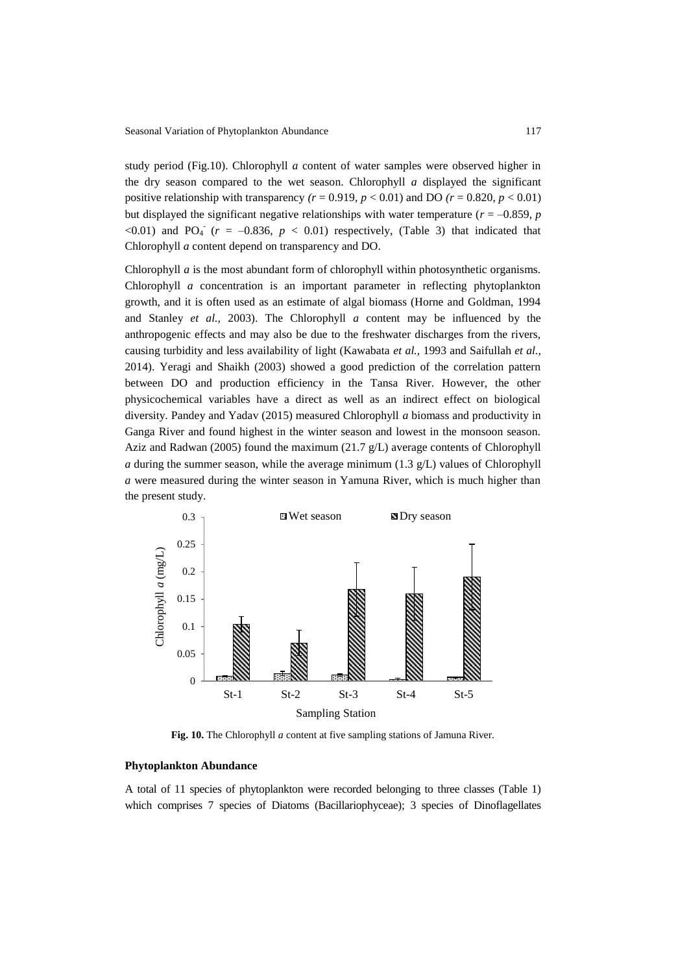study period (Fig.10). Chlorophyll *a* content of water samples were observed higher in the dry season compared to the wet season. Chlorophyll *a* displayed the significant positive relationship with transparency  $(r = 0.919, p < 0.01)$  and DO  $(r = 0.820, p < 0.01)$ but displayed the significant negative relationships with water temperature ( $r = -0.859$ ,  $p$ <0.01) and PO<sub>4</sub><sup> $\cdot$ </sup> ( $r = -0.836, p < 0.01$ ) respectively, (Table 3) that indicated that Chlorophyll *a* content depend on transparency and DO.

Chlorophyll *a* is the most abundant form of chlorophyll within photosynthetic organisms. Chlorophyll *a* concentration is an important parameter in reflecting phytoplankton growth, and it is often used as an estimate of algal biomass (Horne and Goldman, 1994 and Stanley *et al.,* 2003). The Chlorophyll *a* content may be influenced by the anthropogenic effects and may also be due to the freshwater discharges from the rivers, causing turbidity and less availability of light (Kawabata *et al.,* 1993 and Saifullah *et al.,* 2014). Yeragi and Shaikh (2003) showed a good prediction of the correlation pattern between DO and production efficiency in the Tansa River. However, the other physicochemical variables have a direct as well as an indirect effect on biological diversity. Pandey and Yadav (2015) measured Chlorophyll *a* biomass and productivity in Ganga River and found highest in the winter season and lowest in the monsoon season. Aziz and Radwan (2005) found the maximum (21.7 g/L) average contents of Chlorophyll *a* during the summer season, while the average minimum (1.3  $g/L$ ) values of Chlorophyll *a* were measured during the winter season in Yamuna River, which is much higher than the present study.



**Fig. 10.** The Chlorophyll *a* content at five sampling stations of Jamuna River.

## **Phytoplankton Abundance**

A total of 11 species of phytoplankton were recorded belonging to three classes (Table 1) which comprises 7 species of Diatoms (Bacillariophyceae); 3 species of Dinoflagellates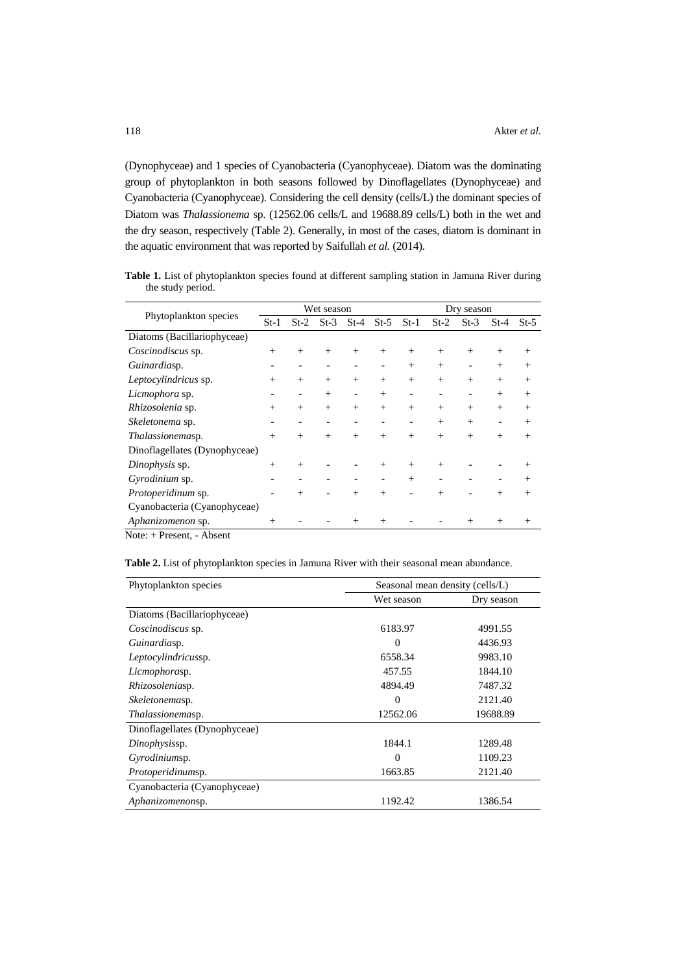(Dynophyceae) and 1 species of Cyanobacteria (Cyanophyceae). Diatom was the dominating group of phytoplankton in both seasons followed by Dinoflagellates (Dynophyceae) and Cyanobacteria (Cyanophyceae). Considering the cell density (cells/L) the dominant species of Diatom was *Thalassionema* sp. (12562.06 cells/L and 19688.89 cells/L) both in the wet and the dry season, respectively (Table 2). Generally, in most of the cases, diatom is dominant in the aquatic environment that was reported by Saifullah *et al.* (2014).

Table 1. List of phytoplankton species found at different sampling station in Jamuna River during the study period.

| Phytoplankton species<br>$St-1$ |        | Wet season |                          |                              |        |                          | Dry season |        |                          |        |  |
|---------------------------------|--------|------------|--------------------------|------------------------------|--------|--------------------------|------------|--------|--------------------------|--------|--|
|                                 |        | $St-2$     | $St-3$                   | $St-4$                       | $St-5$ | $St-1$                   | $St-2$     | $St-3$ | $St-4$                   | $St-5$ |  |
| Diatoms (Bacillariophyceae)     |        |            |                          |                              |        |                          |            |        |                          |        |  |
| Coscinodiscus sp.               | $^{+}$ | $^{+}$     | $^{+}$                   | $^{+}$                       | $^{+}$ | $^{+}$                   | $^{+}$     | $^{+}$ | $^{+}$                   | $^{+}$ |  |
| Guinardiasp.                    |        |            |                          |                              |        | $^{+}$                   | $^{+}$     |        | $^{+}$                   | $^{+}$ |  |
| Leptocylindricus sp.            | $^{+}$ | $^{+}$     | $^{+}$                   | $^{+}$                       | $^{+}$ | $^{+}$                   | $^{+}$     | $^{+}$ | $^{+}$                   | $^{+}$ |  |
| Licmophora sp.                  |        | -          | $^{+}$                   | $\qquad \qquad \blacksquare$ | $^{+}$ | -                        |            |        | $^{+}$                   | $^{+}$ |  |
| Rhizosolenia sp.                | $^{+}$ | $^{+}$     | $^{+}$                   | $^{+}$                       | $^{+}$ | $^{+}$                   | $^{+}$     | $^{+}$ | $^{+}$                   | $^{+}$ |  |
| Skeletonema sp.                 |        |            | $\overline{\phantom{a}}$ | $\qquad \qquad$              | -      | $\overline{\phantom{a}}$ | $^{+}$     | $^{+}$ | $\overline{\phantom{a}}$ | $^{+}$ |  |
| Thalassionemasp.                | $^{+}$ | $^{+}$     | $^{+}$                   | $^{+}$                       | $^{+}$ | $^{+}$                   | $^{+}$     | $+$    | $^{+}$                   | $^{+}$ |  |
| Dinoflagellates (Dynophyceae)   |        |            |                          |                              |        |                          |            |        |                          |        |  |
| Dinophysis sp.                  | $^{+}$ | $^{+}$     |                          |                              | $^{+}$ | $^{+}$                   | $^{+}$     |        |                          | $^{+}$ |  |
| Gyrodinium sp.                  |        |            |                          |                              |        | $^{+}$                   |            |        |                          | $^{+}$ |  |
| Protoperidinum sp.              |        | $^{+}$     |                          | $^{+}$                       | $^{+}$ |                          | $^{+}$     |        | $^{+}$                   | $^{+}$ |  |
| Cyanobacteria (Cyanophyceae)    |        |            |                          |                              |        |                          |            |        |                          |        |  |
| Aphanizomenon sp.<br>$\sim$     |        |            |                          | $^{+}$                       | $^{+}$ |                          |            | $^{+}$ | $^{+}$                   | $^{+}$ |  |

Note: + Present, - Absent

| Phytoplankton species         | Seasonal mean density (cells/L) |            |  |  |  |
|-------------------------------|---------------------------------|------------|--|--|--|
|                               | Wet season                      | Dry season |  |  |  |
| Diatoms (Bacillariophyceae)   |                                 |            |  |  |  |
| Coscinodiscus sp.             | 6183.97                         | 4991.55    |  |  |  |
| Guinardiasp.                  | $\Omega$                        | 4436.93    |  |  |  |
| Leptocylindricussp.           | 6558.34                         | 9983.10    |  |  |  |
| Licmophorasp.                 | 457.55                          | 1844.10    |  |  |  |
| Rhizosoleniasp.               | 4894.49                         | 7487.32    |  |  |  |
| <i>Skeletonemasp.</i>         | $\Omega$                        | 2121.40    |  |  |  |
| Thalassionemasp.              | 12562.06                        | 19688.89   |  |  |  |
| Dinoflagellates (Dynophyceae) |                                 |            |  |  |  |
| Dinophysissp.                 | 1844.1                          | 1289.48    |  |  |  |
| Gyrodiniumsp.                 | $\Omega$                        | 1109.23    |  |  |  |
| <i>Protoperidinumsp.</i>      | 1663.85                         | 2121.40    |  |  |  |
| Cyanobacteria (Cyanophyceae)  |                                 |            |  |  |  |
| Aphanizomenonsp.              | 1192.42                         | 1386.54    |  |  |  |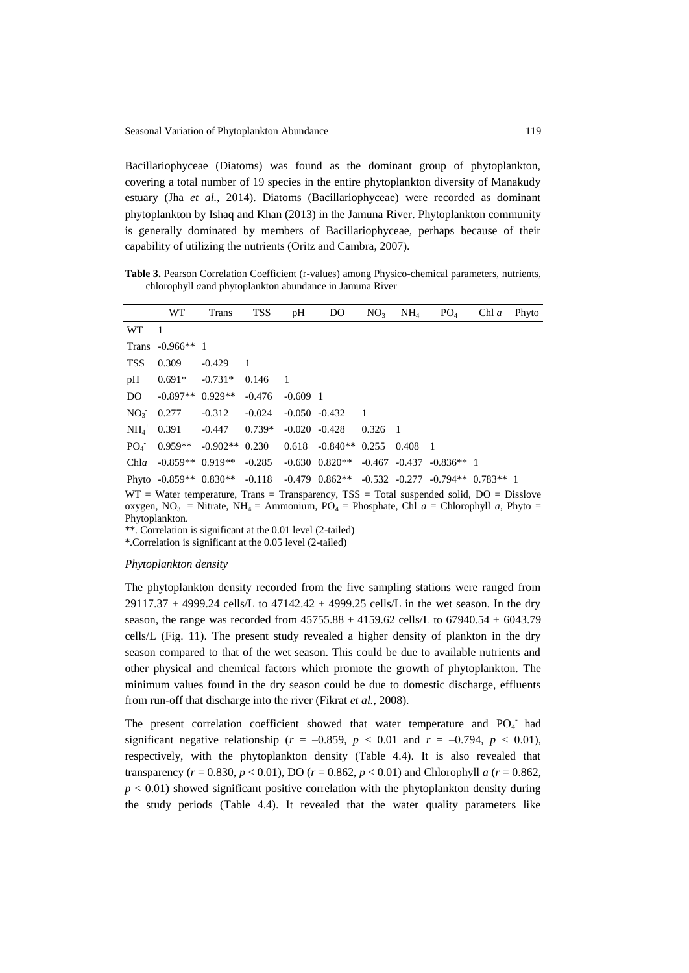Bacillariophyceae (Diatoms) was found as the dominant group of phytoplankton, covering a total number of 19 species in the entire phytoplankton diversity of Manakudy estuary (Jha *et al.,* 2014). Diatoms (Bacillariophyceae) were recorded as dominant phytoplankton by Ishaq and Khan (2013) in the Jamuna River. Phytoplankton community is generally dominated by members of Bacillariophyceae, perhaps because of their capability of utilizing the nutrients (Oritz and Cambra, 2007).

**Table 3.** Pearson Correlation Coefficient (r-values) among Physico-chemical parameters, nutrients, chlorophyll *a*and phytoplankton abundance in Jamuna River

|              | WT                                | Trans            | TSS            | pH             | D <sub>O</sub>                                              | NO <sub>3</sub> | $NH_4$ | PO <sub>4</sub> | $Chl\ a$ | Phyto |
|--------------|-----------------------------------|------------------|----------------|----------------|-------------------------------------------------------------|-----------------|--------|-----------------|----------|-------|
| <b>WT</b>    | - 1                               |                  |                |                |                                                             |                 |        |                 |          |       |
|              | Trans $-0.966**$ 1                |                  |                |                |                                                             |                 |        |                 |          |       |
| <b>TSS</b>   | 0.309                             | $-0.429$         | $\blacksquare$ |                |                                                             |                 |        |                 |          |       |
| pH           | $0.691*$                          | $-0.731*$        | 0.146          | $\blacksquare$ |                                                             |                 |        |                 |          |       |
| DO.          | $-0.897**$                        | $0.929**$        | $-0.476$       | $-0.609$ 1     |                                                             |                 |        |                 |          |       |
| $NO_3$ 0.277 |                                   | $-0.312$         | $-0.024$       |                | $-0.050 -0.432$                                             | $\blacksquare$  |        |                 |          |       |
|              | $NH_4^+$ 0.391                    | -0.447           | $0.739*$       |                | $-0.020 -0.428$                                             | $0.326$ 1       |        |                 |          |       |
|              | $PQ_4 = 0.959**$                  | $-0.902**$ 0.230 |                |                | $0.618$ $-0.840**$ 0.255                                    |                 | 0.408  | $\blacksquare$  |          |       |
| Chla         | $-0.859**$ 0.919**                |                  | $-0.285$       |                | $-0.630$ $0.820**$ $-0.467$ $-0.437$ $-0.836**$ 1           |                 |        |                 |          |       |
|              | Phyto $-0.859**$ 0.830** $-0.118$ |                  |                |                | $-0.479$ $0.862**$ $-0.532$ $-0.277$ $-0.794**$ $0.783**$ 1 |                 |        |                 |          |       |

WT = Water temperature, Trans = Transparency, TSS = Total suspended solid, DO = Disslove oxygen, NO<sub>3</sub> = Nitrate, NH<sub>4</sub> = Ammonium, PO<sub>4</sub> = Phosphate, Chl  $a$  = Chlorophyll  $a$ , Phyto = Phytoplankton.

\*\*. Correlation is significant at the 0.01 level (2-tailed)

\*.Correlation is significant at the 0.05 level (2-tailed)

## *Phytoplankton density*

The phytoplankton density recorded from the five sampling stations were ranged from 29117.37  $\pm$  4999.24 cells/L to 47142.42  $\pm$  4999.25 cells/L in the wet season. In the dry season, the range was recorded from  $45755.88 \pm 4159.62$  cells/L to  $67940.54 \pm 6043.79$ cells/L (Fig. 11). The present study revealed a higher density of plankton in the dry season compared to that of the wet season. This could be due to available nutrients and other physical and chemical factors which promote the growth of phytoplankton. The minimum values found in the dry season could be due to domestic discharge, effluents from run-off that discharge into the river (Fikrat *et al.,* 2008).

The present correlation coefficient showed that water temperature and  $PO_4$  had significant negative relationship ( $r = -0.859$ ,  $p < 0.01$  and  $r = -0.794$ ,  $p < 0.01$ ), respectively, with the phytoplankton density (Table 4.4). It is also revealed that transparency (*r* = 0.830, *p* < 0.01), DO (*r* = 0.862, *p* < 0.01) and Chlorophyll *a* (*r* = 0.862,  $p < 0.01$ ) showed significant positive correlation with the phytoplankton density during the study periods (Table 4.4). It revealed that the water quality parameters like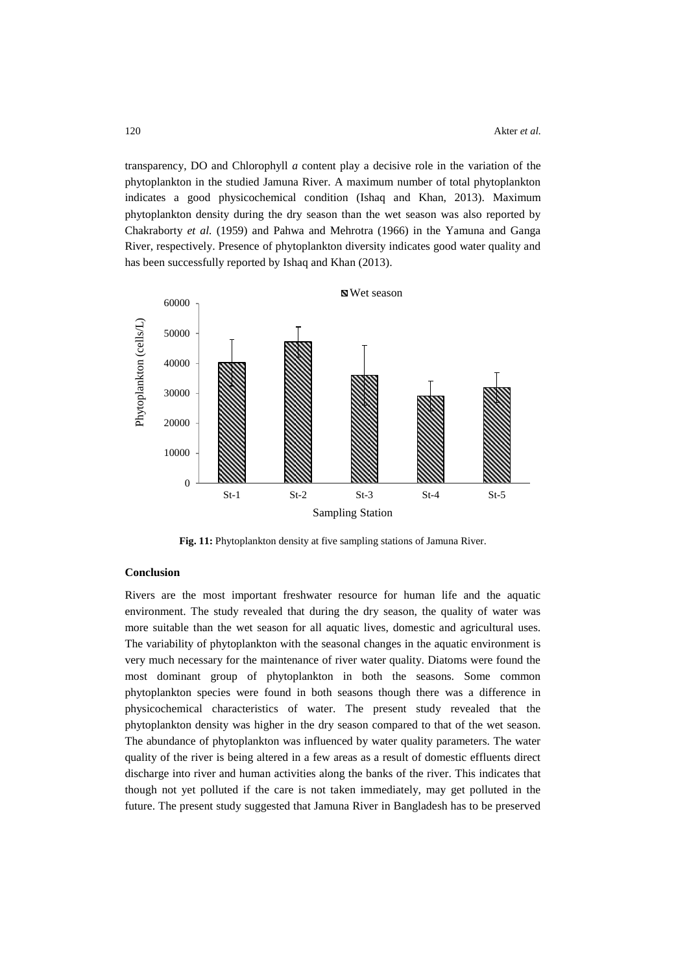transparency, DO and Chlorophyll *a* content play a decisive role in the variation of the phytoplankton in the studied Jamuna River. A maximum number of total phytoplankton indicates a good physicochemical condition (Ishaq and Khan, 2013). Maximum phytoplankton density during the dry season than the wet season was also reported by Chakraborty *et al.* (1959) and Pahwa and Mehrotra (1966) in the Yamuna and Ganga River, respectively. Presence of phytoplankton diversity indicates good water quality and has been successfully reported by Ishaq and Khan (2013).



**Fig. 11:** Phytoplankton density at five sampling stations of Jamuna River.

# **Conclusion**

Rivers are the most important freshwater resource for human life and the aquatic environment. The study revealed that during the dry season, the quality of water was more suitable than the wet season for all aquatic lives, domestic and agricultural uses. The variability of phytoplankton with the seasonal changes in the aquatic environment is very much necessary for the maintenance of river water quality. Diatoms were found the most dominant group of phytoplankton in both the seasons. Some common phytoplankton species were found in both seasons though there was a difference in physicochemical characteristics of water. The present study revealed that the phytoplankton density was higher in the dry season compared to that of the wet season. The abundance of phytoplankton was influenced by water quality parameters. The water quality of the river is being altered in a few areas as a result of domestic effluents direct discharge into river and human activities along the banks of the river. This indicates that though not yet polluted if the care is not taken immediately, may get polluted in the future. The present study suggested that Jamuna River in Bangladesh has to be preserved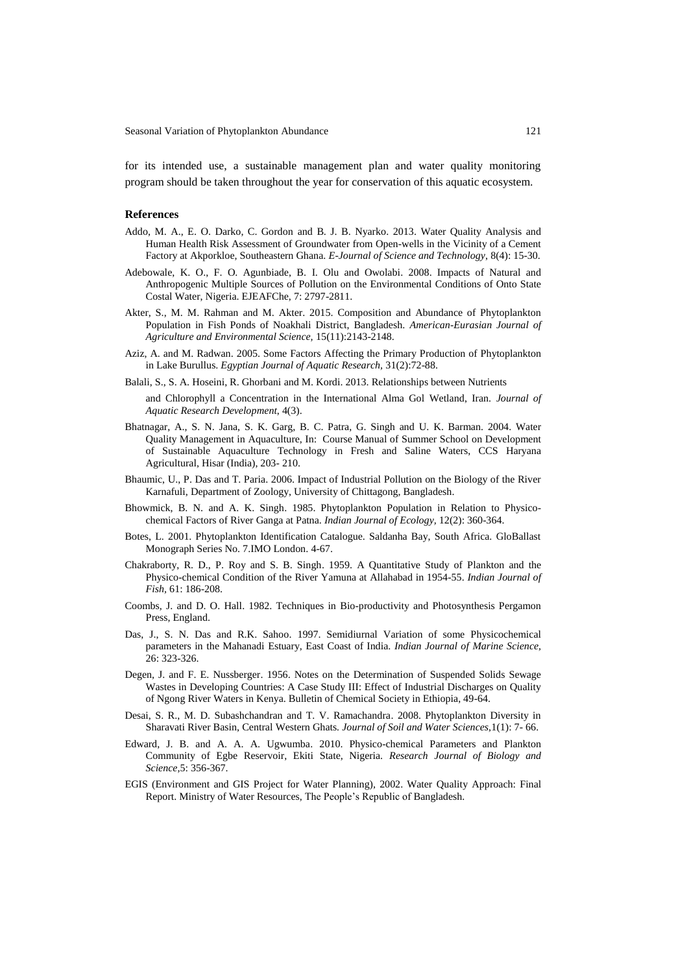Seasonal Variation of Phytoplankton Abundance 121

for its intended use, a sustainable management plan and water quality monitoring program should be taken throughout the year for conservation of this aquatic ecosystem.

### **References**

- Addo, M. A., E. O. Darko, C. Gordon and B. J. B. Nyarko. 2013. Water Quality Analysis and Human Health Risk Assessment of Groundwater from Open-wells in the Vicinity of a Cement Factory at Akporkloe, Southeastern Ghana. *E-Journal of Science and Technology*, 8(4): 15-30.
- Adebowale, K. O., F. O. Agunbiade, B. I. Olu and Owolabi. 2008. Impacts of Natural and Anthropogenic Multiple Sources of Pollution on the Environmental Conditions of Onto State Costal Water, Nigeria. EJEAFChe, 7: 2797-2811.
- Akter, S., M. M. Rahman and M. Akter. 2015. Composition and Abundance of Phytoplankton Population in Fish Ponds of Noakhali District, Bangladesh. *American-Eurasian Journal of Agriculture and Environmental Science,* 15(11):2143-2148.
- Aziz, A. and M. Radwan. 2005. Some Factors Affecting the Primary Production of Phytoplankton in Lake Burullus. *Egyptian Journal of Aquatic Research,* 31(2):72-88.
- Balali, S., S. A. Hoseini, R. Ghorbani and M. Kordi. 2013. Relationships between Nutrients
- and Chlorophyll a Concentration in the International Alma Gol Wetland, Iran. *Journal of Aquatic Research Development*, 4(3).
- Bhatnagar, A., S. N. Jana, S. K. Garg, B. C. Patra, G. Singh and U. K. Barman. 2004. Water Quality Management in Aquaculture, In: Course Manual of Summer School on Development of Sustainable Aquaculture Technology in Fresh and Saline Waters, CCS Haryana Agricultural, Hisar (India), 203- 210.
- Bhaumic, U., P. Das and T. Paria. 2006. Impact of Industrial Pollution on the Biology of the River Karnafuli, Department of Zoology, University of Chittagong, Bangladesh.
- Bhowmick, B. N. and A. K. Singh. 1985. Phytoplankton Population in Relation to Physicochemical Factors of River Ganga at Patna. *Indian Journal of Ecology,* 12(2): 360-364.
- Botes, L. 2001. Phytoplankton Identification Catalogue. Saldanha Bay, South Africa. GloBallast Monograph Series No. 7.IMO London. 4-67.
- Chakraborty, R. D., P. Roy and S. B. Singh. 1959. A Quantitative Study of Plankton and the Physico-chemical Condition of the River Yamuna at Allahabad in 1954-55. *Indian Journal of Fish,* 61: 186-208.
- Coombs, J. and D. O. Hall. 1982. Techniques in Bio-productivity and Photosynthesis Pergamon Press, England.
- Das, J., S. N. Das and R.K. Sahoo. 1997. Semidiurnal Variation of some Physicochemical parameters in the Mahanadi Estuary, East Coast of India. *Indian Journal of Marine Science,* 26: 323-326.
- Degen, J. and F. E. Nussberger. 1956. Notes on the Determination of Suspended Solids Sewage Wastes in Developing Countries: A Case Study III: Effect of Industrial Discharges on Quality of Ngong River Waters in Kenya. Bulletin of Chemical Society in Ethiopia, 49-64.
- Desai, S. R., M. D. Subashchandran and T. V. Ramachandra. 2008. Phytoplankton Diversity in Sharavati River Basin, Central Western Ghats*. Journal of Soil and Water Sciences,*1(1): 7- 66.
- Edward, J. B. and A. A. A. Ugwumba. 2010. Physico-chemical Parameters and Plankton Community of Egbe Reservoir, Ekiti State, Nigeria. *Research Journal of Biology and Science,*5: 356-367.
- EGIS (Environment and GIS Project for Water Planning), 2002. Water Quality Approach: Final Report. Ministry of Water Resources, The People's Republic of Bangladesh.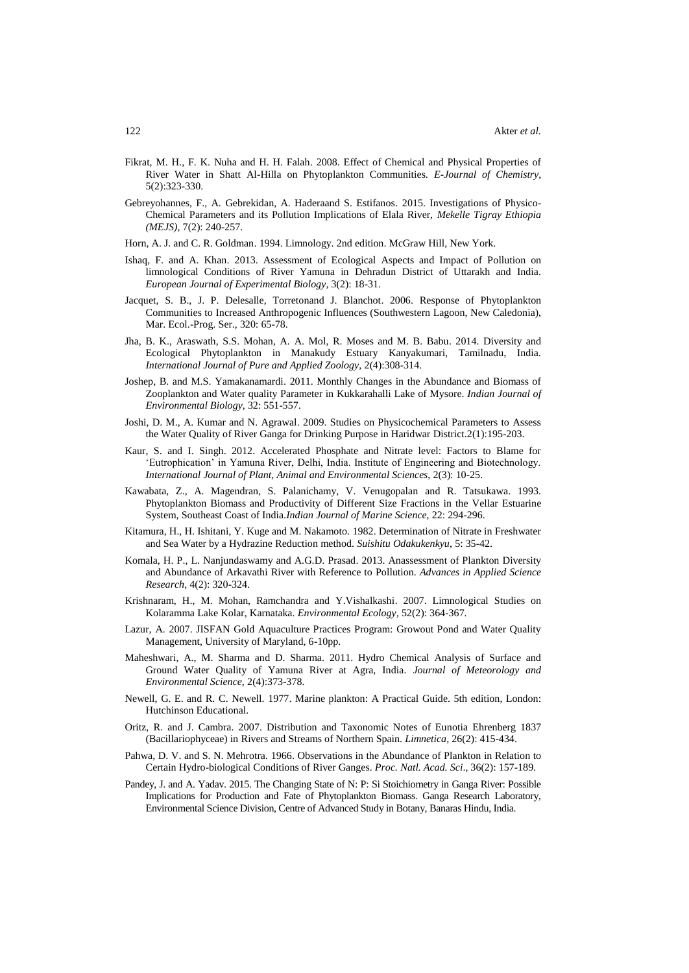- Fikrat, M. H., F. K. Nuha and H. H. Falah. 2008. Effect of Chemical and Physical Properties of River Water in Shatt Al-Hilla on Phytoplankton Communities. *E-Journal of Chemistry*, 5(2):323-330.
- Gebreyohannes, F., A. Gebrekidan, A. Haderaand S. Estifanos. 2015. Investigations of Physico-Chemical Parameters and its Pollution Implications of Elala River, *Mekelle Tigray Ethiopia (MEJS),* 7(2): 240-257.
- Horn, A. J. and C. R. Goldman. 1994. Limnology. 2nd edition. McGraw Hill, New York.
- Ishaq, F. and A. Khan. 2013. Assessment of Ecological Aspects and Impact of Pollution on limnological Conditions of River Yamuna in Dehradun District of Uttarakh and India. *European Journal of Experimental Biology*, 3(2): 18-31.
- Jacquet, S. B., J. P. Delesalle, Torretonand J. Blanchot. 2006. Response of Phytoplankton Communities to Increased Anthropogenic Influences (Southwestern Lagoon, New Caledonia), Mar. Ecol.-Prog. Ser., 320: 65-78.
- Jha, B. K., Araswath, S.S. Mohan, A. A. Mol, R. Moses and M. B. Babu. 2014. Diversity and Ecological Phytoplankton in Manakudy Estuary Kanyakumari, Tamilnadu, India. *International Journal of Pure and Applied Zoology,* 2(4):308-314.
- Joshep, B. and M.S. Yamakanamardi. 2011. Monthly Changes in the Abundance and Biomass of Zooplankton and Water quality Parameter in Kukkarahalli Lake of Mysore. *Indian Journal of Environmental Biology,* 32: 551-557.
- Joshi, D. M., A. Kumar and N. Agrawal. 2009. Studies on Physicochemical Parameters to Assess the Water Quality of River Ganga for Drinking Purpose in Haridwar District.2(1):195-203.
- Kaur, S. and I. Singh. 2012. Accelerated Phosphate and Nitrate level: Factors to Blame for 'Eutrophication' in Yamuna River, Delhi, India. Institute of Engineering and Biotechnology. *International Journal of Plant, Animal and Environmental Sciences*, 2(3): 10-25.
- Kawabata, Z., A. Magendran, S. Palanichamy, V. Venugopalan and R. Tatsukawa. 1993. Phytoplankton Biomass and Productivity of Different Size Fractions in the Vellar Estuarine System, Southeast Coast of India.*Indian Journal of Marine Science*, 22: 294-296.
- Kitamura, H., H. Ishitani, Y. Kuge and M. Nakamoto. 1982. Determination of Nitrate in Freshwater and Sea Water by a Hydrazine Reduction method. *Suishitu Odakukenkyu*, 5: 35-42.
- Komala, H. P., L. Nanjundaswamy and A.G.D. Prasad. 2013. Anassessment of Plankton Diversity and Abundance of Arkavathi River with Reference to Pollution. *Advances in Applied Science Research*, 4(2): 320-324.
- Krishnaram, H., M. Mohan, Ramchandra and Y.Vishalkashi. 2007. Limnological Studies on Kolaramma Lake Kolar, Karnataka. *Environmental Ecology,* 52(2): 364-367.
- Lazur, A. 2007. JISFAN Gold Aquaculture Practices Program: Growout Pond and Water Quality Management, University of Maryland, 6-10pp.
- Maheshwari, A., M. Sharma and D. Sharma. 2011. Hydro Chemical Analysis of Surface and Ground Water Quality of Yamuna River at Agra, India. *Journal of Meteorology and Environmental Science,* 2(4):373-378.
- Newell, G. E. and R. C. Newell. 1977. Marine plankton: A Practical Guide. 5th edition, London: Hutchinson Educational.
- Oritz, R. and J. Cambra. 2007. Distribution and Taxonomic Notes of Eunotia Ehrenberg 1837 (Bacillariophyceae) in Rivers and Streams of Northern Spain. *Limnetica*, 26(2): 415-434.
- Pahwa, D. V. and S. N. Mehrotra. 1966. Observations in the Abundance of Plankton in Relation to Certain Hydro-biological Conditions of River Ganges. *Proc. Natl. Acad. Sci*., 36(2): 157-189.
- Pandey, J. and A. Yadav. 2015. The Changing State of N: P: Si Stoichiometry in Ganga River: Possible Implications for Production and Fate of Phytoplankton Biomass. Ganga Research Laboratory, Environmental Science Division, Centre of Advanced Study in Botany, Banaras Hindu, India.